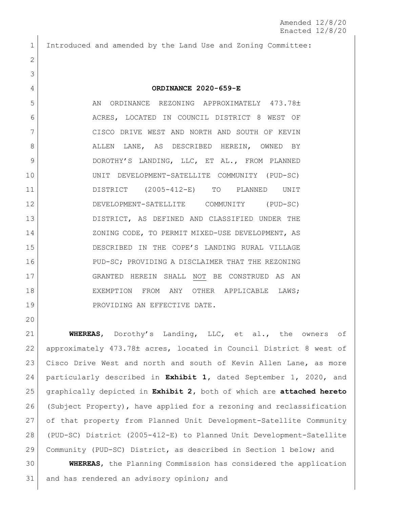Introduced and amended by the Land Use and Zoning Committee:

## **ORDINANCE 2020-659-E**

5 AN ORDINANCE REZONING APPROXIMATELY 473.78± 6 ACRES, LOCATED IN COUNCIL DISTRICT 8 WEST OF 7 | CISCO DRIVE WEST AND NORTH AND SOUTH OF KEVIN 8 ALLEN LANE, AS DESCRIBED HEREIN, OWNED BY DOROTHY'S LANDING, LLC, ET AL., FROM PLANNED UNIT DEVELOPMENT-SATELLITE COMMUNITY (PUD-SC) DISTRICT (2005-412-E) TO PLANNED UNIT DEVELOPMENT-SATELLITE COMMUNITY (PUD-SC) DISTRICT, AS DEFINED AND CLASSIFIED UNDER THE 14 ZONING CODE, TO PERMIT MIXED-USE DEVELOPMENT, AS DESCRIBED IN THE COPE'S LANDING RURAL VILLAGE 16 PUD-SC; PROVIDING A DISCLAIMER THAT THE REZONING GRANTED HEREIN SHALL NOT BE CONSTRUED AS AN EXEMPTION FROM ANY OTHER APPLICABLE LAWS; 19 PROVIDING AN EFFECTIVE DATE.

 **WHEREAS**, Dorothy's Landing, LLC, et al., the owners of 22 approximately 473.78± acres, located in Council District 8 west of 23 Cisco Drive West and north and south of Kevin Allen Lane, as more particularly described in **Exhibit 1,** dated September 1, 2020, and graphically depicted in **Exhibit 2,** both of which are **attached hereto** (Subject Property), have applied for a rezoning and reclassification of that property from Planned Unit Development-Satellite Community (PUD-SC) District (2005-412-E) to Planned Unit Development-Satellite Community (PUD-SC) District, as described in Section 1 below; and

 **WHEREAS**, the Planning Commission has considered the application 31 and has rendered an advisory opinion; and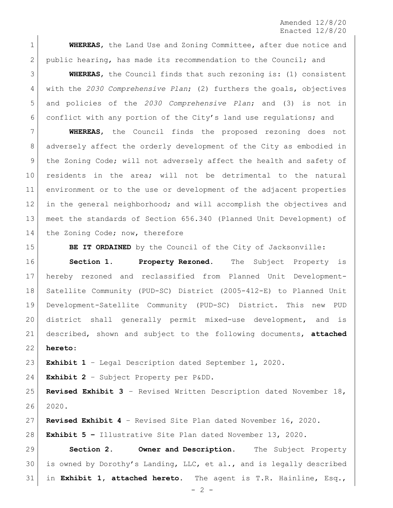Amended 12/8/20 Enacted 12/8/20

 **WHEREAS**, the Land Use and Zoning Committee, after due notice and 2 public hearing, has made its recommendation to the Council; and

 **WHEREAS**, the Council finds that such rezoning is: (1) consistent with the *2030 Comprehensive Plan*; (2) furthers the goals, objectives and policies of the *2030 Comprehensive Plan*; and (3) is not in conflict with any portion of the City's land use regulations; and

 **WHEREAS**, the Council finds the proposed rezoning does not adversely affect the orderly development of the City as embodied in 9 | the Zoning Code; will not adversely affect the health and safety of residents in the area; will not be detrimental to the natural environment or to the use or development of the adjacent properties in the general neighborhood; and will accomplish the objectives and meet the standards of Section 656.340 (Planned Unit Development) of 14 the Zoning Code; now, therefore

**BE IT ORDAINED** by the Council of the City of Jacksonville:

 **Section 1. Property Rezoned.** The Subject Property is hereby rezoned and reclassified from Planned Unit Development- Satellite Community (PUD-SC) District (2005-412-E) to Planned Unit Development-Satellite Community (PUD-SC) District. This new PUD district shall generally permit mixed-use development, and is described, shown and subject to the following documents, **attached hereto**:

**Exhibit 1** – Legal Description dated September 1, 2020.

**Exhibit 2** – Subject Property per P&DD.

 **Revised Exhibit 3** – Revised Written Description dated November 18, 2020.

**Revised Exhibit 4** – Revised Site Plan dated November 16, 2020.

**Exhibit 5 –** Illustrative Site Plan dated November 13, 2020.

 **Section 2. Owner and Description.** The Subject Property is owned by Dorothy's Landing, LLC, et al., and is legally described in **Exhibit 1, attached hereto**. The agent is T.R. Hainline, Esq.,

 $- 2 -$